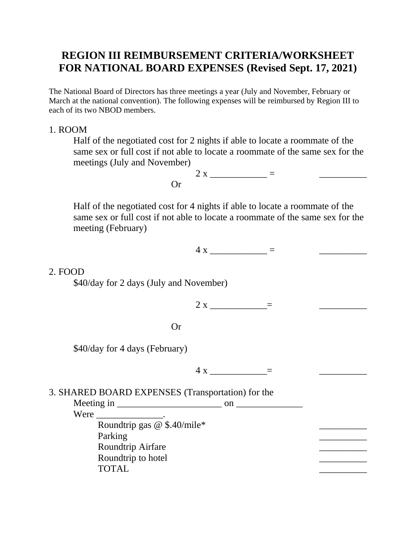# **REGION III REIMBURSEMENT CRITERIA/WORKSHEET FOR NATIONAL BOARD EXPENSES (Revised Sept. 17, 2021)**

The National Board of Directors has three meetings a year (July and November, February or March at the national convention). The following expenses will be reimbursed by Region III to each of its two NBOD members.

### 1. ROOM

Half of the negotiated cost for 2 nights if able to locate a roommate of the same sex or full cost if not able to locate a roommate of the same sex for the meetings (July and November)

> $2 x = 2$ Or

Half of the negotiated cost for 4 nights if able to locate a roommate of the same sex or full cost if not able to locate a roommate of the same sex for the meeting (February)

 $4 x$   $=$ 

#### 2. FOOD

\$40/day for 2 days (July and November)

 $2 x \_$  =

Or

\$40/day for 4 days (February)

 $4 \times$   $=$ 

## 3. SHARED BOARD EXPENSES (Transportation) for the

 $\text{Meeting in}$  on  $\blacksquare$ Were  $\qquad \qquad \blacksquare$ 

> Roundtrip gas  $\overline{\omega}$  \$.40/mile\* Parking **Example 2018 Parking** 2018 **Parking** 2018 **Parking** 2018 **Parking** 2018 **Parking** 2018 **Parking** 2018 **Parking** 2018 **Parking** 2018 **Parking** 2018 **Parking** 2018 **Parking** 2018 **Parking** 2018 **Parking** 2018 **Par** Roundtrip Airfare \_\_\_\_\_\_\_\_\_\_ Roundtrip to hotel TOTAL PRODUCERS AND TOTAL PRODUCERS AND TOTAL PRODUCERS AND TOTAL PRODUCERS AND TOTAL PRODUCERS AND TOTAL PRODUCERS.